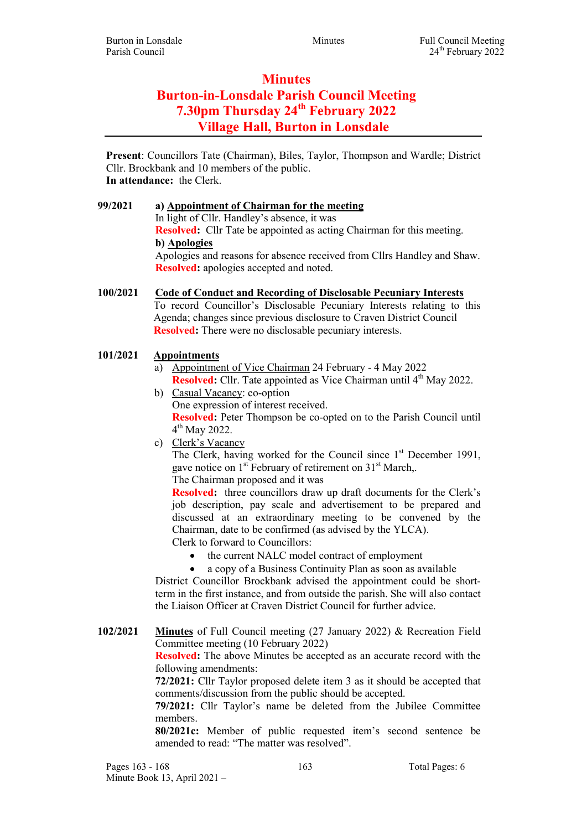# **Minutes** Burton-in-Lonsdale Parish Council Meeting 7.30pm Thursday 24<sup>th</sup> February 2022 Village Hall, Burton in Lonsdale

Present: Councillors Tate (Chairman), Biles, Taylor, Thompson and Wardle; District Cllr. Brockbank and 10 members of the public. In attendance: the Clerk.

99/2021 a) Appointment of Chairman for the meeting In light of Cllr. Handley's absence, it was Resolved: Cllr Tate be appointed as acting Chairman for this meeting. b) Apologies Apologies and reasons for absence received from Cllrs Handley and Shaw. Resolved: apologies accepted and noted.

100/2021 Code of Conduct and Recording of Disclosable Pecuniary Interests To record Councillor's Disclosable Pecuniary Interests relating to this Agenda; changes since previous disclosure to Craven District Council Resolved: There were no disclosable pecuniary interests.

# 101/2021 Appointments

- a) Appointment of Vice Chairman 24 February 4 May 2022 Resolved: Cllr. Tate appointed as Vice Chairman until 4<sup>th</sup> May 2022.
- b) Casual Vacancy: co-option One expression of interest received. Resolved: Peter Thompson be co-opted on to the Parish Council until 4<sup>th</sup> May 2022.
- c) Clerk's Vacancy The Clerk, having worked for the Council since  $1<sup>st</sup>$  December 1991, gave notice on  $1<sup>st</sup>$  February of retirement on  $31<sup>st</sup>$  March,. The Chairman proposed and it was

Resolved: three councillors draw up draft documents for the Clerk's job description, pay scale and advertisement to be prepared and discussed at an extraordinary meeting to be convened by the Chairman, date to be confirmed (as advised by the YLCA). Clerk to forward to Councillors:

- the current NALC model contract of employment
- a copy of a Business Continuity Plan as soon as available

District Councillor Brockbank advised the appointment could be shortterm in the first instance, and from outside the parish. She will also contact the Liaison Officer at Craven District Council for further advice.

102/2021 Minutes of Full Council meeting (27 January 2022) & Recreation Field Committee meeting (10 February 2022)

**Resolved:** The above Minutes be accepted as an accurate record with the following amendments:

72/2021: Cllr Taylor proposed delete item 3 as it should be accepted that comments/discussion from the public should be accepted.

79/2021: Cllr Taylor's name be deleted from the Jubilee Committee members.

80/2021c: Member of public requested item's second sentence be amended to read: "The matter was resolved".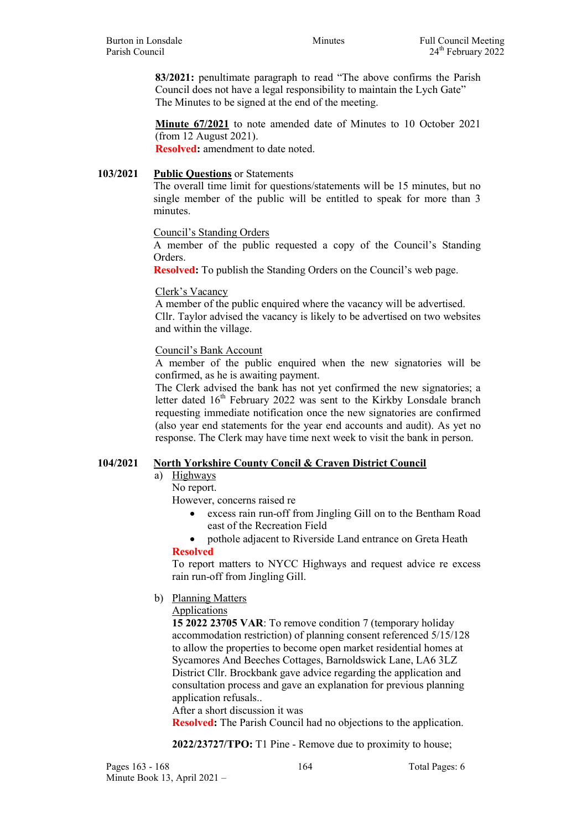83/2021: penultimate paragraph to read "The above confirms the Parish Council does not have a legal responsibility to maintain the Lych Gate" The Minutes to be signed at the end of the meeting.

Minute 67/2021 to note amended date of Minutes to 10 October 2021 (from 12 August 2021). Resolved: amendment to date noted.

### 103/2021 Public Questions or Statements

The overall time limit for questions/statements will be 15 minutes, but no single member of the public will be entitled to speak for more than 3 minutes.

#### Council's Standing Orders

A member of the public requested a copy of the Council's Standing Orders.

Resolved: To publish the Standing Orders on the Council's web page.

## Clerk's Vacancy

A member of the public enquired where the vacancy will be advertised. Cllr. Taylor advised the vacancy is likely to be advertised on two websites and within the village.

Council's Bank Account

A member of the public enquired when the new signatories will be confirmed, as he is awaiting payment.

The Clerk advised the bank has not yet confirmed the new signatories; a letter dated  $16<sup>th</sup>$  February 2022 was sent to the Kirkby Lonsdale branch requesting immediate notification once the new signatories are confirmed (also year end statements for the year end accounts and audit). As yet no response. The Clerk may have time next week to visit the bank in person.

# 104/2021 North Yorkshire County Concil & Craven District Council

- a) Highways
	- No report.

However, concerns raised re

- excess rain run-off from Jingling Gill on to the Bentham Road east of the Recreation Field
- pothole adjacent to Riverside Land entrance on Greta Heath

Resolved

To report matters to NYCC Highways and request advice re excess rain run-off from Jingling Gill.

b) Planning Matters

Applications

15 2022 23705 VAR: To remove condition 7 (temporary holiday accommodation restriction) of planning consent referenced 5/15/128 to allow the properties to become open market residential homes at Sycamores And Beeches Cottages, Barnoldswick Lane, LA6 3LZ District Cllr. Brockbank gave advice regarding the application and consultation process and gave an explanation for previous planning application refusals..

After a short discussion it was

Resolved: The Parish Council had no objections to the application.

2022/23727/TPO: T1 Pine - Remove due to proximity to house;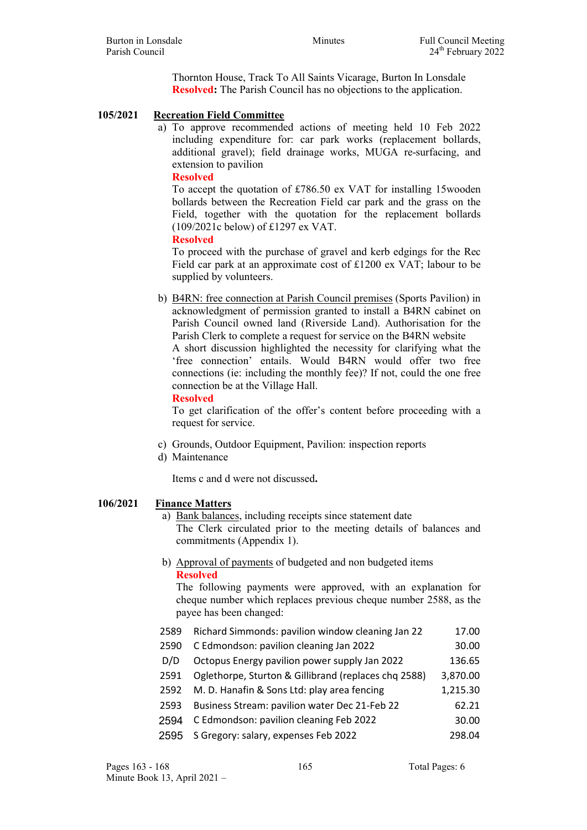Thornton House, Track To All Saints Vicarage, Burton In Lonsdale Resolved: The Parish Council has no objections to the application.

- 105/2021 Recreation Field Committee
	- a) To approve recommended actions of meeting held 10 Feb 2022 including expenditure for: car park works (replacement bollards, additional gravel); field drainage works, MUGA re-surfacing, and extension to pavilion

#### Resolved

To accept the quotation of £786.50 ex VAT for installing 15wooden bollards between the Recreation Field car park and the grass on the Field, together with the quotation for the replacement bollards (109/2021c below) of £1297 ex VAT.

Resolved

To proceed with the purchase of gravel and kerb edgings for the Rec Field car park at an approximate cost of £1200 ex VAT; labour to be supplied by volunteers.

- b) B4RN: free connection at Parish Council premises (Sports Pavilion) in acknowledgment of permission granted to install a B4RN cabinet on Parish Council owned land (Riverside Land). Authorisation for the Parish Clerk to complete a request for service on the B4RN website A short discussion highlighted the necessity for clarifying what the 'free connection' entails. Would B4RN would offer two free connections (ie: including the monthly fee)? If not, could the one free connection be at the Village Hall.
	- Resolved

To get clarification of the offer's content before proceeding with a request for service.

- c) Grounds, Outdoor Equipment, Pavilion: inspection reports
- d) Maintenance

Items c and d were not discussed.

# 106/2021 Finance Matters

- a) Bank balances, including receipts since statement date The Clerk circulated prior to the meeting details of balances and commitments (Appendix 1).
- b) Approval of payments of budgeted and non budgeted items Resolved

The following payments were approved, with an explanation for cheque number which replaces previous cheque number 2588, as the payee has been changed:

2589 Richard Simmonds: pavilion window cleaning Jan 22 17.00 2590 C Edmondson: pavilion cleaning Jan 2022 30.00 D/D Octopus Energy pavilion power supply Jan 2022 136.65 2591 Oglethorpe, Sturton & Gillibrand (replaces chq 2588) 3,870.00 2592 M. D. Hanafin & Sons Ltd: play area fencing 1,215.30 2593 Business Stream: pavilion water Dec 21-Feb 22 62.21 2594 C Edmondson: pavilion cleaning Feb 2022 30.00 2595 S Gregory: salary, expenses Feb 2022 298.04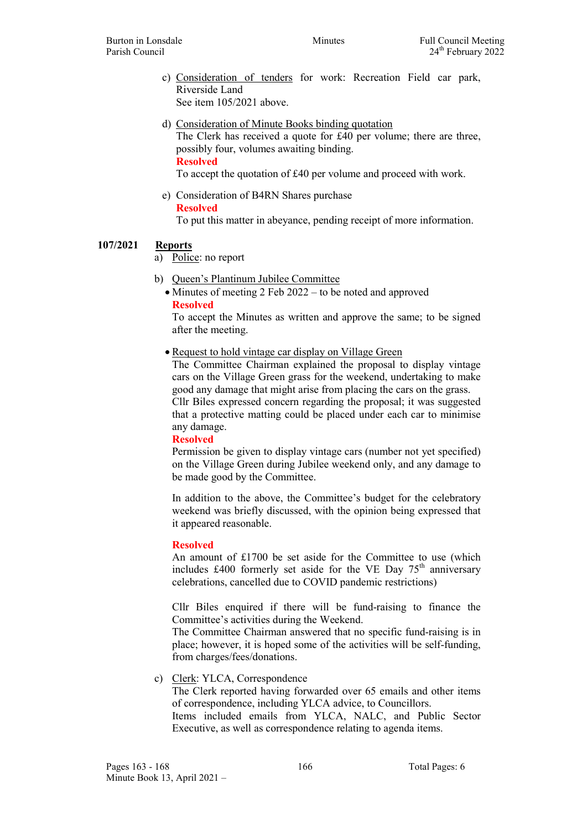- c) Consideration of tenders for work: Recreation Field car park, Riverside Land See item 105/2021 above.
- d) Consideration of Minute Books binding quotation

The Clerk has received a quote for £40 per volume; there are three, possibly four, volumes awaiting binding. Resolved

To accept the quotation of £40 per volume and proceed with work.

e) Consideration of B4RN Shares purchase Resolved

To put this matter in abeyance, pending receipt of more information.

# 107/2021 Reports

- a) Police: no report
- b) Queen's Plantinum Jubilee Committee
	- Minutes of meeting 2 Feb 2022 to be noted and approved Resolved

To accept the Minutes as written and approve the same; to be signed after the meeting.

• Request to hold vintage car display on Village Green

The Committee Chairman explained the proposal to display vintage cars on the Village Green grass for the weekend, undertaking to make good any damage that might arise from placing the cars on the grass. Cllr Biles expressed concern regarding the proposal; it was suggested that a protective matting could be placed under each car to minimise any damage.

#### Resolved

Permission be given to display vintage cars (number not yet specified) on the Village Green during Jubilee weekend only, and any damage to be made good by the Committee.

In addition to the above, the Committee's budget for the celebratory weekend was briefly discussed, with the opinion being expressed that it appeared reasonable.

#### Resolved

An amount of £1700 be set aside for the Committee to use (which includes £400 formerly set aside for the VE Day  $75<sup>th</sup>$  anniversary celebrations, cancelled due to COVID pandemic restrictions)

Cllr Biles enquired if there will be fund-raising to finance the Committee's activities during the Weekend.

The Committee Chairman answered that no specific fund-raising is in place; however, it is hoped some of the activities will be self-funding, from charges/fees/donations.

c) Clerk: YLCA, Correspondence

The Clerk reported having forwarded over 65 emails and other items of correspondence, including YLCA advice, to Councillors.

Items included emails from YLCA, NALC, and Public Sector Executive, as well as correspondence relating to agenda items.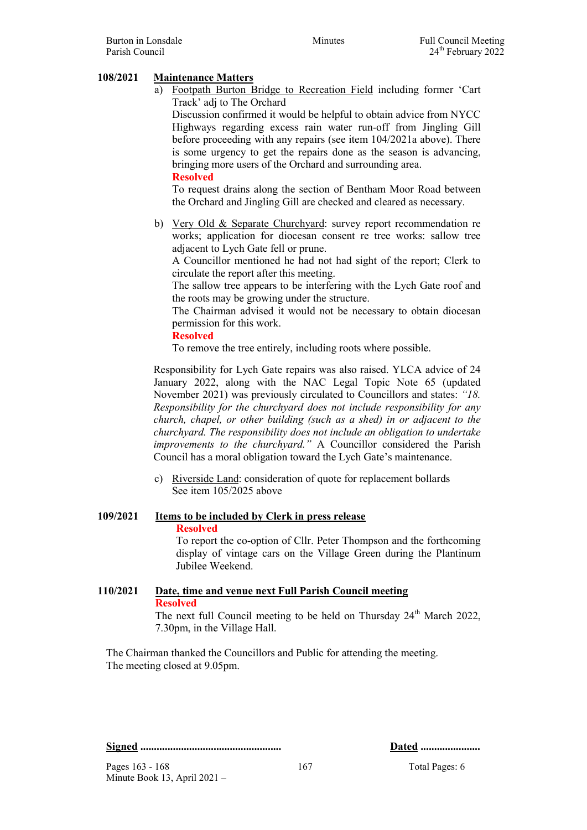# 108/2021 Maintenance Matters

a) Footpath Burton Bridge to Recreation Field including former 'Cart Track' adj to The Orchard

Discussion confirmed it would be helpful to obtain advice from NYCC Highways regarding excess rain water run-off from Jingling Gill before proceeding with any repairs (see item 104/2021a above). There is some urgency to get the repairs done as the season is advancing, bringing more users of the Orchard and surrounding area.

#### Resolved

To request drains along the section of Bentham Moor Road between the Orchard and Jingling Gill are checked and cleared as necessary.

b) Very Old & Separate Churchyard: survey report recommendation re works; application for diocesan consent re tree works: sallow tree adjacent to Lych Gate fell or prune.

A Councillor mentioned he had not had sight of the report; Clerk to circulate the report after this meeting.

The sallow tree appears to be interfering with the Lych Gate roof and the roots may be growing under the structure.

The Chairman advised it would not be necessary to obtain diocesan permission for this work.

#### Resolved

To remove the tree entirely, including roots where possible.

Responsibility for Lych Gate repairs was also raised. YLCA advice of 24 January 2022, along with the NAC Legal Topic Note 65 (updated November 2021) was previously circulated to Councillors and states: "18. Responsibility for the churchyard does not include responsibility for any church, chapel, or other building (such as a shed) in or adjacent to the churchyard. The responsibility does not include an obligation to undertake improvements to the churchyard." A Councillor considered the Parish Council has a moral obligation toward the Lych Gate's maintenance.

c) Riverside Land: consideration of quote for replacement bollards See item 105/2025 above

#### 109/2021 Items to be included by Clerk in press release Resolved

To report the co-option of Cllr. Peter Thompson and the forthcoming display of vintage cars on the Village Green during the Plantinum Jubilee Weekend.

# 110/2021 Date, time and venue next Full Parish Council meeting Resolved

The next full Council meeting to be held on Thursday 24<sup>th</sup> March 2022, 7.30pm, in the Village Hall.

The Chairman thanked the Councillors and Public for attending the meeting. The meeting closed at 9.05pm.

Signed .................................................... Dated ......................